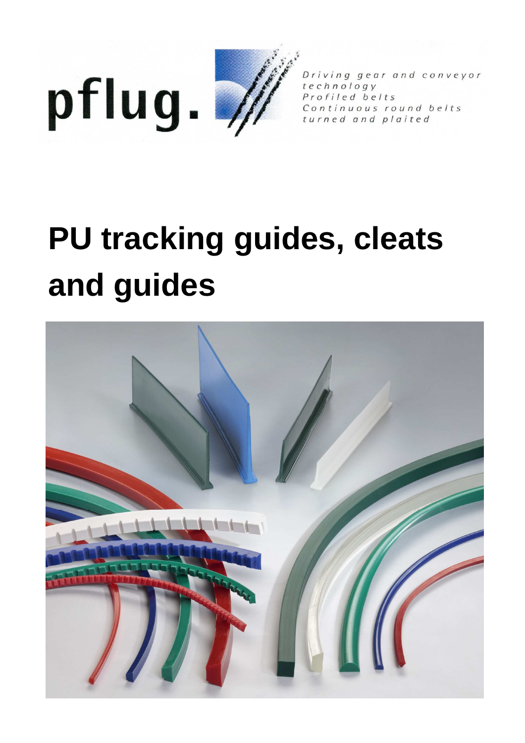



Driving gear and conveyor technology Profiled belts Continuous round belts turned and plaited

# **PU tracking guides, cleats and guides**

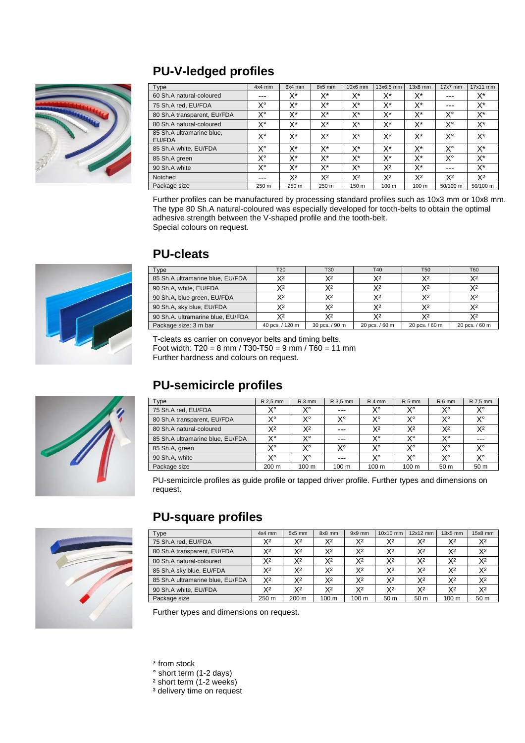## **PU-V-ledged profiles**



| Type                                | $4x4$ mm | 6x4 mm | 8x5 mm | $10x6$ mm      | 13x6.5 mm        | $13x8$ mm      | $17x7$ mm      | $17x11$ mm     |
|-------------------------------------|----------|--------|--------|----------------|------------------|----------------|----------------|----------------|
| 60 Sh.A natural-coloured            | ---      | $X^*$  | X*     | X*             | X*               | X*             | ---            | X*             |
| 75 Sh.A red, EU/FDA                 | X°       | X*     | X*     | X*             | X*               | X*             | ---            | X*             |
| 80 Sh.A transparent, EU/FDA         | x٠       | X*     | X*     | X*             | X*               | X*             | X°             | X*             |
| 80 Sh.A natural-coloured            | X°       | X*     | X*     | X*             | X*               | X*             | X°             | X*             |
| 85 Sh.A ultramarine blue,<br>EU/FDA | x٠       | X*     | X*     | X*             | X*               | X*             | X°             | X*             |
| 85 Sh.A white, EU/FDA               | X°       | X*     | X*     | X*             | X*               | $X^*$          | X°             | X*             |
| 85 Sh.A green                       | x٠       | X*     | X*     | X*             | X*               | X*             | X°             | X*             |
| 90 Sh.A white                       | x٠       | X*     | X*     | X*             | X2               | X*             | ---            | $X^*$          |
| Notched                             | ---      | $X^2$  | X2     | X <sup>2</sup> | X2               | X <sup>2</sup> | X <sup>2</sup> | X <sup>2</sup> |
| Package size                        | 250 m    | 250 m  | 250 m  | 150 m          | 100 <sub>m</sub> | 100 m          | $50/100$ m     | $50/100$ m     |

Further profiles can be manufactured by processing standard profiles such as 10x3 mm or 10x8 mm. The type 80 Sh.A natural-coloured was especially developed for tooth-belts to obtain the optimal adhesive strength between the V-shaped profile and the tooth-belt. Special colours on request.



## **PU-cleats**

| Type                              | T <sub>20</sub> | T30            | T40            | T <sub>50</sub> | T60            |
|-----------------------------------|-----------------|----------------|----------------|-----------------|----------------|
| 85 Sh.A ultramarine blue, EU/FDA  | X2              | χ2             | X2             |                 | Χ2             |
| 90 Sh.A, white, EU/FDA            | χ2              | X2             | X2             | Y2              | χ2             |
| 90 Sh.A, blue green, EU/FDA       | X2              | X2             | X2             | Y2              | χ2             |
| 90 Sh.A, sky blue, EU/FDA         | χ2              | χ2             | X2             |                 | χ2             |
| 90 Sh.A. ultramarine blue, EU/FDA | χ2              | Y2             | V2             |                 | Χ2             |
| Package size: 3 m bar             | 40 pcs. / 120 m | 30 pcs. / 90 m | 20 pcs. / 60 m | 20 pcs. / 60 m  | 20 pcs. / 60 m |

T-cleats as carrier on conveyor belts and timing belts. Foot width: T20 = 8 mm / T30-T50 = 9 mm / T60 = 11 mm Further hardness and colours on request.

## **PU-semicircle profiles**

| Type                             | R 2.5 mm | $R3$ mm        | R 3.5 mm | $R4$ mm          | $R5$ mm         | R 6 mm          | R 7.5 mm |
|----------------------------------|----------|----------------|----------|------------------|-----------------|-----------------|----------|
| 75 Sh.A red, EU/FDA              | v٥       | v٥             | $---$    | x٠               | v۰              | v٥              | X°       |
| 80 Sh.A transparent, EU/FDA      | v٥       | x٠             | v٥       | x٠               | v٥              | v٥              | $\vee$   |
| 80 Sh.A natural-coloured         | X2       | X <sup>2</sup> | $- - -$  | X <sup>2</sup>   | X2              | X <sup>2</sup>  | $X^2$    |
| 85 Sh.A ultramarine blue, EU/FDA | v٥       | v٥             | $- - -$  | x٠               | v۰              | v٥              | $- - -$  |
| 85 Sh.A, green                   | v٥       | v٥             | v٥       | x٠               | v٥              | v٥              | $\vee$   |
| 90 Sh.A, white                   | v٥       | x٠             | $- - -$  | x٠               | v٥              | v٥              | X°       |
| Package size                     | 200 m    | 100 m          | 100 m    | 100 <sub>m</sub> | $100 \text{ m}$ | 50 <sub>m</sub> | 50 m     |

PU-semicircle profiles as guide profile or tapped driver profile. Further types and dimensions on request.



#### **PU-square profiles**

| Type                             | $4x4$ mm | $5x5$ mm | 8x8 mm         | $9x9$ mm         | 10x10 mm       | $12x12$ mm     | $13x5$ mm        | $15x8$ mm      |
|----------------------------------|----------|----------|----------------|------------------|----------------|----------------|------------------|----------------|
| 75 Sh.A red, EU/FDA              | $X^2$    | Х2       | X <sup>2</sup> | $X^2$            | X <sup>2</sup> | $X^2$          | X <sup>2</sup>   | X <sup>2</sup> |
| 80 Sh.A transparent, EU/FDA      | X2       | Х2       | X <sup>2</sup> | X <sup>2</sup>   | Х2             | X <sup>2</sup> | X <sup>2</sup>   | X <sup>2</sup> |
| 80 Sh.A natural-coloured         | $X^2$    | X2       | X2             | X <sup>2</sup>   | X2             | X <sup>2</sup> | $X^2$            | X2             |
| 85 Sh.A sky blue, EU/FDA         | X2       | X2       | $X^2$          | X2               | X2             | X <sup>2</sup> | X <sup>2</sup>   | X2             |
| 85 Sh.A ultramarine blue. EU/FDA | X2       | Х2       | $X^2$          | X2               | X2             | $X^2$          | X <sup>2</sup>   | X <sup>2</sup> |
| 90 Sh.A white, EU/FDA            | X2       | Х2       | X2             | X2               | X2             | $X^2$          | X <sup>2</sup>   | X2             |
| Package size                     | 250 m    | 200 m    | 100 m          | 100 <sub>m</sub> | 50 m           | 50 m           | 100 <sub>m</sub> | 50 m           |

Further types and dimensions on request.

\* from stock

- ° short term (1-2 days)
- ² short term (1-2 weeks)
- <sup>3</sup> delivery time on request